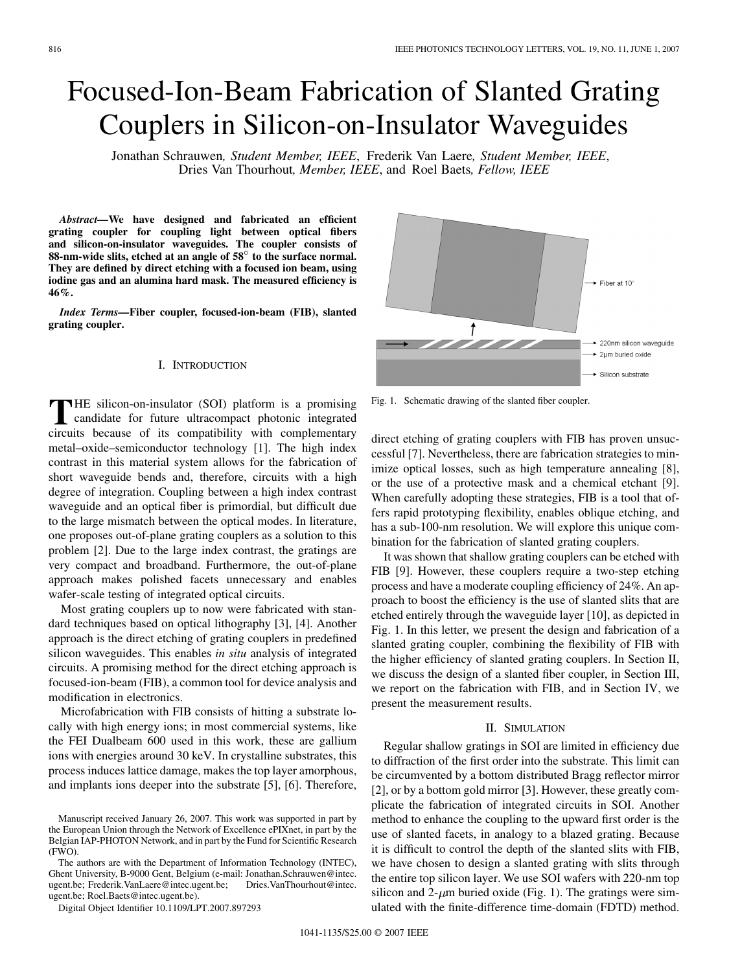# Focused-Ion-Beam Fabrication of Slanted Grating Couplers in Silicon-on-Insulator Waveguides

Jonathan Schrauwen*, Student Member, IEEE*, Frederik Van Laere*, Student Member, IEEE*, Dries Van Thourhout*, Member, IEEE*, and Roel Baets*, Fellow, IEEE*

*Abstract—***We have designed and fabricated an efficient grating coupler for coupling light between optical fibers and silicon-on-insulator waveguides. The coupler consists of 88-nm-wide slits, etched at an angle of 58 to the surface normal. They are defined by direct etching with a focused ion beam, using iodine gas and an alumina hard mask. The measured efficiency is 46%.**

*Index Terms—***Fiber coupler, focused-ion-beam (FIB), slanted grating coupler.**

## I. INTRODUCTION

**THE silicon-on-insulator (SOI) platform is a promising**<br>candidate for future ultracompact photonic integrated<br>circuits because of its compatibility with complementary circuits because of its compatibility with complementary metal–oxide–semiconductor technology [\[1\]](#page-2-0). The high index contrast in this material system allows for the fabrication of short waveguide bends and, therefore, circuits with a high degree of integration. Coupling between a high index contrast waveguide and an optical fiber is primordial, but difficult due to the large mismatch between the optical modes. In literature, one proposes out-of-plane grating couplers as a solution to this problem [\[2\].](#page-2-0) Due to the large index contrast, the gratings are very compact and broadband. Furthermore, the out-of-plane approach makes polished facets unnecessary and enables wafer-scale testing of integrated optical circuits.

Most grating couplers up to now were fabricated with standard techniques based on optical lithography [\[3\]](#page-2-0), [\[4\].](#page-2-0) Another approach is the direct etching of grating couplers in predefined silicon waveguides. This enables *in situ* analysis of integrated circuits. A promising method for the direct etching approach is focused-ion-beam (FIB), a common tool for device analysis and modification in electronics.

Microfabrication with FIB consists of hitting a substrate locally with high energy ions; in most commercial systems, like the FEI Dualbeam 600 used in this work, these are gallium ions with energies around 30 keV. In crystalline substrates, this process induces lattice damage, makes the top layer amorphous, and implants ions deeper into the substrate [\[5\]](#page-2-0), [\[6\].](#page-2-0) Therefore,



Fig. 1. Schematic drawing of the slanted fiber coupler.

direct etching of grating couplers with FIB has proven unsuccessful [\[7\].](#page-2-0) Nevertheless, there are fabrication strategies to minimize optical losses, such as high temperature annealing [\[8\]](#page-2-0), or the use of a protective mask and a chemical etchant [\[9\]](#page-2-0). When carefully adopting these strategies, FIB is a tool that offers rapid prototyping flexibility, enables oblique etching, and has a sub-100-nm resolution. We will explore this unique combination for the fabrication of slanted grating couplers.

It was shown that shallow grating couplers can be etched with FIB [\[9\].](#page-2-0) However, these couplers require a two-step etching process and have a moderate coupling efficiency of 24%. An approach to boost the efficiency is the use of slanted slits that are etched entirely through the waveguide layer [\[10\],](#page-2-0) as depicted in Fig. 1. In this letter, we present the design and fabrication of a slanted grating coupler, combining the flexibility of FIB with the higher efficiency of slanted grating couplers. In Section II, we discuss the design of a slanted fiber coupler, in [Section III](#page-1-0), we report on the fabrication with FIB, and in [Section IV](#page-2-0), we present the measurement results.

## II. SIMULATION

Regular shallow gratings in SOI are limited in efficiency due to diffraction of the first order into the substrate. This limit can be circumvented by a bottom distributed Bragg reflector mirror [\[2\]](#page-2-0), or by a bottom gold mirror [\[3\].](#page-2-0) However, these greatly complicate the fabrication of integrated circuits in SOI. Another method to enhance the coupling to the upward first order is the use of slanted facets, in analogy to a blazed grating. Because it is difficult to control the depth of the slanted slits with FIB, we have chosen to design a slanted grating with slits through the entire top silicon layer. We use SOI wafers with 220-nm top silicon and  $2-\mu m$  buried oxide (Fig. 1). The gratings were simulated with the finite-difference time-domain (FDTD) method.

Manuscript received January 26, 2007. This work was supported in part by the European Union through the Network of Excellence ePIXnet, in part by the Belgian IAP-PHOTON Network, and in part by the Fund for Scientific Research (FWO).

The authors are with the Department of Information Technology (INTEC), Ghent University, B-9000 Gent, Belgium (e-mail: Jonathan.Schrauwen@intec. ugent.be; Frederik.VanLaere@intec.ugent.be; Dries.VanThourhout@intec. ugent.be; Roel.Baets@intec.ugent.be).

Digital Object Identifier 10.1109/LPT.2007.897293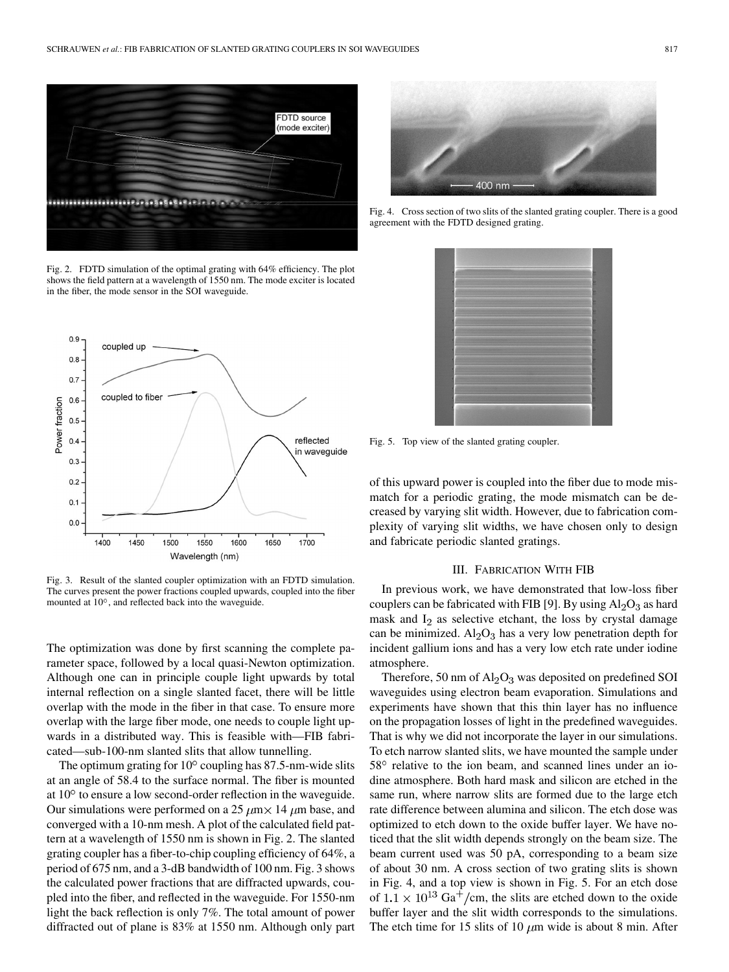<span id="page-1-0"></span>

Fig. 2. FDTD simulation of the optimal grating with 64% efficiency. The plot shows the field pattern at a wavelength of 1550 nm. The mode exciter is located in the fiber, the mode sensor in the SOI waveguide.



Fig. 3. Result of the slanted coupler optimization with an FDTD simulation. The curves present the power fractions coupled upwards, coupled into the fiber mounted at  $10^{\circ}$ , and reflected back into the waveguide.

The optimization was done by first scanning the complete parameter space, followed by a local quasi-Newton optimization. Although one can in principle couple light upwards by total internal reflection on a single slanted facet, there will be little overlap with the mode in the fiber in that case. To ensure more overlap with the large fiber mode, one needs to couple light upwards in a distributed way. This is feasible with—FIB fabricated—sub-100-nm slanted slits that allow tunnelling.

The optimum grating for  $10^{\circ}$  coupling has 87.5-nm-wide slits at an angle of 58.4 to the surface normal. The fiber is mounted at  $10^{\circ}$  to ensure a low second-order reflection in the waveguide. Our simulations were performed on a 25  $\mu$ m $\times$  14  $\mu$ m base, and converged with a 10-nm mesh. A plot of the calculated field pattern at a wavelength of 1550 nm is shown in Fig. 2. The slanted grating coupler has a fiber-to-chip coupling efficiency of 64%, a period of 675 nm, and a 3-dB bandwidth of 100 nm. Fig. 3 shows the calculated power fractions that are diffracted upwards, coupled into the fiber, and reflected in the waveguide. For 1550-nm light the back reflection is only 7%. The total amount of power diffracted out of plane is 83% at 1550 nm. Although only part



Fig. 4. Cross section of two slits of the slanted grating coupler. There is a good agreement with the FDTD designed grating.



Fig. 5. Top view of the slanted grating coupler.

of this upward power is coupled into the fiber due to mode mismatch for a periodic grating, the mode mismatch can be decreased by varying slit width. However, due to fabrication complexity of varying slit widths, we have chosen only to design and fabricate periodic slanted gratings.

#### III. FABRICATION WITH FIB

In previous work, we have demonstrated that low-loss fiber couplers can be fabricated with FIB [\[9\]](#page-2-0). By using  $Al_2O_3$  as hard mask and  $I_2$  as selective etchant, the loss by crystal damage can be minimized.  $\text{Al}_2\text{O}_3$  has a very low penetration depth for incident gallium ions and has a very low etch rate under iodine atmosphere.

Therefore, 50 nm of  $Al_2O_3$  was deposited on predefined SOI waveguides using electron beam evaporation. Simulations and experiments have shown that this thin layer has no influence on the propagation losses of light in the predefined waveguides. That is why we did not incorporate the layer in our simulations. To etch narrow slanted slits, we have mounted the sample under  $58^{\circ}$  relative to the ion beam, and scanned lines under an iodine atmosphere. Both hard mask and silicon are etched in the same run, where narrow slits are formed due to the large etch rate difference between alumina and silicon. The etch dose was optimized to etch down to the oxide buffer layer. We have noticed that the slit width depends strongly on the beam size. The beam current used was 50 pA, corresponding to a beam size of about 30 nm. A cross section of two grating slits is shown in Fig. 4, and a top view is shown in Fig. 5. For an etch dose of  $1.1 \times 10^{13}$  Ga<sup>+</sup>/cm, the slits are etched down to the oxide buffer layer and the slit width corresponds to the simulations. The etch time for 15 slits of 10  $\mu$ m wide is about 8 min. After